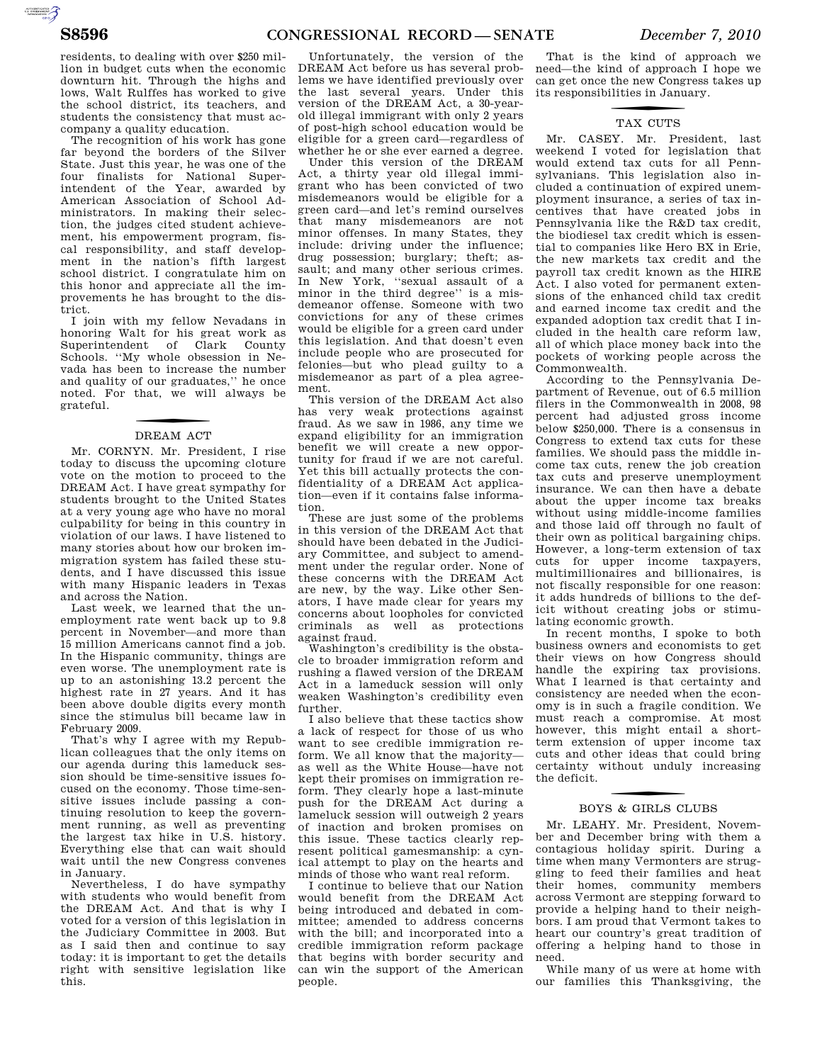residents, to dealing with over \$250 million in budget cuts when the economic downturn hit. Through the highs and lows, Walt Rulffes has worked to give the school district, its teachers, and students the consistency that must accompany a quality education.

The recognition of his work has gone far beyond the borders of the Silver State. Just this year, he was one of the four finalists for National Superintendent of the Year, awarded by American Association of School Administrators. In making their selection, the judges cited student achievement, his empowerment program, fiscal responsibility, and staff development in the nation's fifth largest school district. I congratulate him on this honor and appreciate all the improvements he has brought to the district.

I join with my fellow Nevadans in honoring Walt for his great work as Superintendent of Clark County Schools. ''My whole obsession in Nevada has been to increase the number and quality of our graduates,'' he once noted. For that, we will always be grateful.

# DREAM ACT

Mr. CORNYN. Mr. President, I rise today to discuss the upcoming cloture vote on the motion to proceed to the DREAM Act. I have great sympathy for students brought to the United States at a very young age who have no moral culpability for being in this country in violation of our laws. I have listened to many stories about how our broken immigration system has failed these students, and I have discussed this issue with many Hispanic leaders in Texas and across the Nation.

Last week, we learned that the unemployment rate went back up to 9.8 percent in November—and more than 15 million Americans cannot find a job. In the Hispanic community, things are even worse. The unemployment rate is up to an astonishing 13.2 percent the highest rate in 27 years. And it has been above double digits every month since the stimulus bill became law in February 2009.

That's why I agree with my Republican colleagues that the only items on our agenda during this lameduck session should be time-sensitive issues focused on the economy. Those time-sensitive issues include passing a continuing resolution to keep the government running, as well as preventing the largest tax hike in U.S. history. Everything else that can wait should wait until the new Congress convenes in January.

Nevertheless, I do have sympathy with students who would benefit from the DREAM Act. And that is why I voted for a version of this legislation in the Judiciary Committee in 2003. But as I said then and continue to say today: it is important to get the details right with sensitive legislation like this.

Unfortunately, the version of the DREAM Act before us has several problems we have identified previously over the last several years. Under this version of the DREAM Act, a 30-yearold illegal immigrant with only 2 years of post-high school education would be eligible for a green card—regardless of whether he or she ever earned a degree.

Under this version of the DREAM Act, a thirty year old illegal immigrant who has been convicted of two misdemeanors would be eligible for a green card—and let's remind ourselves that many misdemeanors are not minor offenses. In many States, they include: driving under the influence; drug possession; burglary; theft; assault; and many other serious crimes. In New York, ''sexual assault of a minor in the third degree'' is a misdemeanor offense. Someone with two convictions for any of these crimes would be eligible for a green card under this legislation. And that doesn't even include people who are prosecuted for felonies—but who plead guilty to a misdemeanor as part of a plea agreement.

This version of the DREAM Act also has very weak protections against fraud. As we saw in 1986, any time we expand eligibility for an immigration benefit we will create a new opportunity for fraud if we are not careful. Yet this bill actually protects the confidentiality of a DREAM Act application—even if it contains false information.

These are just some of the problems in this version of the DREAM Act that should have been debated in the Judiciary Committee, and subject to amendment under the regular order. None of these concerns with the DREAM Act are new, by the way. Like other Senators, I have made clear for years my concerns about loopholes for convicted criminals as well as protections against fraud.

Washington's credibility is the obstacle to broader immigration reform and rushing a flawed version of the DREAM Act in a lameduck session will only weaken Washington's credibility even further.

I also believe that these tactics show a lack of respect for those of us who want to see credible immigration reform. We all know that the majority as well as the White House—have not kept their promises on immigration reform. They clearly hope a last-minute push for the DREAM Act during a lameluck session will outweigh 2 years of inaction and broken promises on this issue. These tactics clearly represent political gamesmanship: a cynical attempt to play on the hearts and minds of those who want real reform.

I continue to believe that our Nation would benefit from the DREAM Act being introduced and debated in committee; amended to address concerns with the bill; and incorporated into a credible immigration reform package that begins with border security and can win the support of the American people.

That is the kind of approach we need—the kind of approach I hope we can get once the new Congress takes up its responsibilities in January.

# TAX CUTS

Mr. CASEY. Mr. President, last weekend I voted for legislation that would extend tax cuts for all Pennsylvanians. This legislation also included a continuation of expired unemployment insurance, a series of tax incentives that have created jobs in Pennsylvania like the R&D tax credit, the biodiesel tax credit which is essential to companies like Hero BX in Erie, the new markets tax credit and the payroll tax credit known as the HIRE Act. I also voted for permanent extensions of the enhanced child tax credit and earned income tax credit and the expanded adoption tax credit that I included in the health care reform law, all of which place money back into the pockets of working people across the Commonwealth.

According to the Pennsylvania Department of Revenue, out of 6.5 million filers in the Commonwealth in 2008, 98 percent had adjusted gross income below \$250,000. There is a consensus in Congress to extend tax cuts for these families. We should pass the middle income tax cuts, renew the job creation tax cuts and preserve unemployment insurance. We can then have a debate about the upper income tax breaks without using middle-income families and those laid off through no fault of their own as political bargaining chips. However, a long-term extension of tax cuts for upper income taxpayers, multimillionaires and billionaires, is not fiscally responsible for one reason: it adds hundreds of billions to the deficit without creating jobs or stimulating economic growth.

In recent months, I spoke to both business owners and economists to get their views on how Congress should handle the expiring tax provisions. What I learned is that certainty and consistency are needed when the economy is in such a fragile condition. We must reach a compromise. At most however, this might entail a shortterm extension of upper income tax cuts and other ideas that could bring certainty without unduly increasing the deficit.

# f BOYS & GIRLS CLUBS

Mr. LEAHY. Mr. President, November and December bring with them a contagious holiday spirit. During a time when many Vermonters are struggling to feed their families and heat their homes, community members across Vermont are stepping forward to provide a helping hand to their neighbors. I am proud that Vermont takes to heart our country's great tradition of offering a helping hand to those in need.

While many of us were at home with our families this Thanksgiving, the